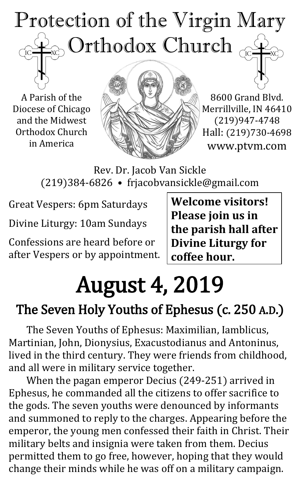# Protection of the Virgin Mary  $_{\odot}$  Orthodox Church  $_{\odot}$  $\overline{C}$

A Parish of the Diocese of Chicago and the Midwest Orthodox Church in America



8600 Grand Blvd. Merrillville, IN 46410 (219)947-4748 Hall: (219)730-4698 www.ptvm.com

Rev. Dr. Jacob Van Sickle (219)384-6826 • frjacobvansickle@gmail.com

Great Vespers: 6pm Saturdays

Divine Liturgy: 10am Sundays

Confessions are heard before or after Vespers or by appointment. **Welcome visitors! Please join us in the parish hall after Divine Liturgy for coffee hour.**

# August 4, 2019

# The Seven Holy Youths of Ephesus (c. 250 A.D.)

The Seven Youths of Ephesus: Maximilian, Iamblicus, Martinian, John, Dionysius, Exacustodianus and Antoninus, lived in the third century. They were friends from childhood, and all were in military service together.

When the pagan emperor Decius (249-251) arrived in Ephesus, he commanded all the citizens to offer sacrifice to the gods. The seven youths were denounced by informants and summoned to reply to the charges. Appearing before the emperor, the young men confessed their faith in Christ. Their military belts and insignia were taken from them. Decius permitted them to go free, however, hoping that they would change their minds while he was off on a military campaign.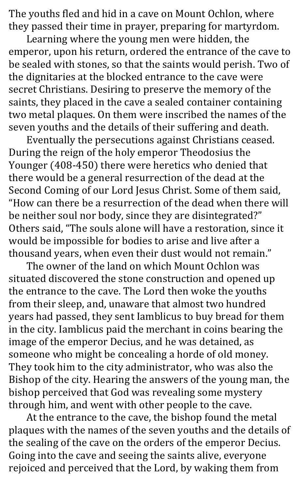The youths fled and hid in a cave on Mount Ochlon, where they passed their time in prayer, preparing for martyrdom.

Learning where the young men were hidden, the emperor, upon his return, ordered the entrance of the cave to be sealed with stones, so that the saints would perish. Two of the dignitaries at the blocked entrance to the cave were secret Christians. Desiring to preserve the memory of the saints, they placed in the cave a sealed container containing two metal plaques. On them were inscribed the names of the seven youths and the details of their suffering and death.

Eventually the persecutions against Christians ceased. During the reign of the holy emperor Theodosius the Younger (408-450) there were heretics who denied that there would be a general resurrection of the dead at the Second Coming of our Lord Jesus Christ. Some of them said, "How can there be a resurrection of the dead when there will be neither soul nor body, since they are disintegrated?" Others said, "The souls alone will have a restoration, since it would be impossible for bodies to arise and live after a thousand years, when even their dust would not remain."

The owner of the land on which Mount Ochlon was situated discovered the stone construction and opened up the entrance to the cave. The Lord then woke the youths from their sleep, and, unaware that almost two hundred years had passed, they sent Iamblicus to buy bread for them in the city. Iamblicus paid the merchant in coins bearing the image of the emperor Decius, and he was detained, as someone who might be concealing a horde of old money. They took him to the city administrator, who was also the Bishop of the city. Hearing the answers of the young man, the bishop perceived that God was revealing some mystery through him, and went with other people to the cave.

At the entrance to the cave, the bishop found the metal plaques with the names of the seven youths and the details of the sealing of the cave on the orders of the emperor Decius. Going into the cave and seeing the saints alive, everyone rejoiced and perceived that the Lord, by waking them from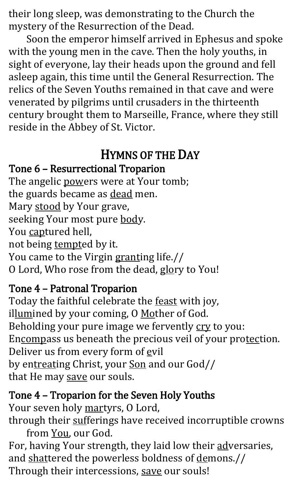their long sleep, was demonstrating to the Church the mystery of the Resurrection of the Dead.

Soon the emperor himself arrived in Ephesus and spoke with the young men in the cave. Then the holy youths, in sight of everyone, lay their heads upon the ground and fell asleep again, this time until the General Resurrection. The relics of the Seven Youths remained in that cave and were venerated by pilgrims until crusaders in the thirteenth century brought them to Marseille, France, where they still reside in the Abbey of St. Victor.

## HYMNS OF THE DAY

#### Tone 6 – Resurrectional Troparion

The angelic powers were at Your tomb; the guards became as dead men. Mary stood by Your grave, seeking Your most pure body. You captured hell, not being tempted by it. You came to the Virgin granting life.// O Lord, Who rose from the dead, glory to You!

## Tone 4 – Patronal Troparion

Today the faithful celebrate the **feast** with joy, illumined by your coming, O Mother of God. Beholding your pure image we fervently cry to you: Encompass us beneath the precious veil of your protection. Deliver us from every form of evil by entreating Christ, your Son and our God// that He may save our souls.

#### Tone 4 – Troparion for the Seven Holy Youths

Your seven holy martyrs, O Lord,

through their sufferings have received incorruptible crowns from You, our God.

For, having Your strength, they laid low their adversaries, and shattered the powerless boldness of demons.// Through their intercessions, save our souls!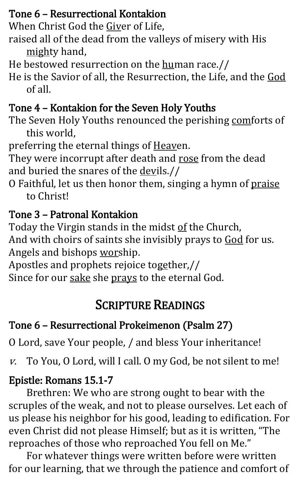#### Tone 6 – Resurrectional Kontakion

When Christ God the Giver of Life,

- raised all of the dead from the valleys of misery with His mighty hand,
- He bestowed resurrection on the human race.//
- He is the Savior of all, the Resurrection, the Life, and the God of all.

## Tone 4 – Kontakion for the Seven Holy Youths

The Seven Holy Youths renounced the perishing comforts of this world,

preferring the eternal things of Heaven.

They were incorrupt after death and rose from the dead and buried the snares of the devils.//

O Faithful, let us then honor them, singing a hymn of praise to Christ!

## Tone 3 – Patronal Kontakion

Today the Virgin stands in the midst of the Church, And with choirs of saints she invisibly prays to God for us. Angels and bishops worship.

Apostles and prophets rejoice together,//

Since for our sake she prays to the eternal God.

## SCRIPTURE READINGS

## Tone 6 – Resurrectional Prokeimenon (Psalm 27)

O Lord, save Your people, / and bless Your inheritance!

v. To You, O Lord, will I call. O my God, be not silent to me!

## Epistle: Romans 15.1-7

Brethren: We who are strong ought to bear with the scruples of the weak, and not to please ourselves. Let each of us please his neighbor for his good, leading to edification. For even Christ did not please Himself; but as it is written, "The reproaches of those who reproached You fell on Me."

For whatever things were written before were written for our learning, that we through the patience and comfort of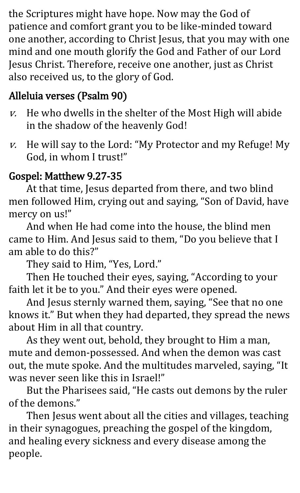the Scriptures might have hope. Now may the God of patience and comfort grant you to be like-minded toward one another, according to Christ Jesus, that you may with one mind and one mouth glorify the God and Father of our Lord Jesus Christ. Therefore, receive one another, just as Christ also received us, to the glory of God.

## Alleluia verses (Psalm 90)

- $v.$  He who dwells in the shelter of the Most High will abide in the shadow of the heavenly God!
- $v.$  He will say to the Lord: "My Protector and my Refuge! My God, in whom I trust!"

### Gospel: Matthew 9.27-35

At that time, Jesus departed from there, and two blind men followed Him, crying out and saying, "Son of David, have mercy on us!"

And when He had come into the house, the blind men came to Him. And Jesus said to them, "Do you believe that I am able to do this?"

They said to Him, "Yes, Lord."

Then He touched their eyes, saying, "According to your faith let it be to you." And their eyes were opened.

And Jesus sternly warned them, saying, "See that no one knows it." But when they had departed, they spread the news about Him in all that country.

As they went out, behold, they brought to Him a man, mute and demon-possessed. And when the demon was cast out, the mute spoke. And the multitudes marveled, saying, "It was never seen like this in Israel!"

But the Pharisees said, "He casts out demons by the ruler of the demons."

Then Jesus went about all the cities and villages, teaching in their synagogues, preaching the gospel of the kingdom, and healing every sickness and every disease among the people.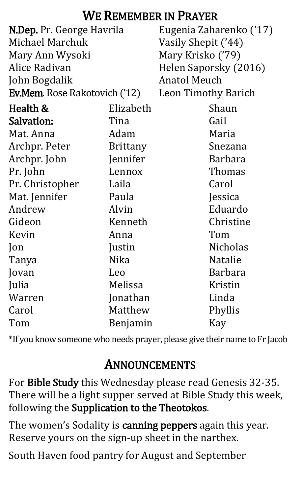## WE REMEMBER IN PRAYER

| N.Dep. Pr. George Havrila            |                 | Eugenia Zaharenko ('17)    |                       |
|--------------------------------------|-----------------|----------------------------|-----------------------|
| Michael Marchuk                      |                 | Vasily Shepit ('44)        |                       |
| Mary Ann Wysoki                      |                 | Mary Krisko ('79)          |                       |
| Alice Radivan                        |                 |                            | Helen Saporsky (2016) |
| John Bogdalik                        |                 | <b>Anatol Meuch</b>        |                       |
| <b>Ev.Mem.</b> Rose Rakotovich ('12) |                 | <b>Leon Timothy Barich</b> |                       |
| Health &                             | Elizabeth       |                            | Shaun                 |
| Salvation:                           | Tina            |                            | Gail                  |
| Mat. Anna                            | Adam            |                            | Maria                 |
| Archpr. Peter                        | <b>Brittany</b> |                            | Snezana               |
| Archpr. John                         | Jennifer        |                            | <b>Barbara</b>        |
| Pr. John                             | Lennox          |                            | Thomas                |
| Pr. Christopher                      | Laila           |                            | Carol                 |
| Mat. Jennifer                        | Paula           |                            | Jessica               |
| Andrew                               | Alvin           |                            | Eduardo               |
| Gideon                               | Kenneth         |                            | Christine             |
| Kevin                                | Anna            |                            | Tom                   |
| $\lceil$ on                          | Justin          |                            | <b>Nicholas</b>       |
| Tanya                                | Nika            |                            | <b>Natalie</b>        |
| Jovan                                | Leo             |                            | Barbara               |
| Julia                                | Melissa         |                            | Kristin               |
| Warren                               | Jonathan        |                            | Linda                 |
| Carol                                | Matthew         |                            | Phyllis               |
| Tom                                  | Benjamin        |                            | Kay                   |

\*If you know someone who needs prayer, please give their name to Fr Jacob

## ANNOUNCEMENTS

For Bible Study this Wednesday please read Genesis 32-35. There will be a light supper served at Bible Study this week, following the Supplication to the Theotokos.

The women's Sodality is canning peppers again this year. Reserve yours on the sign-up sheet in the narthex.

South Haven food pantry for August and September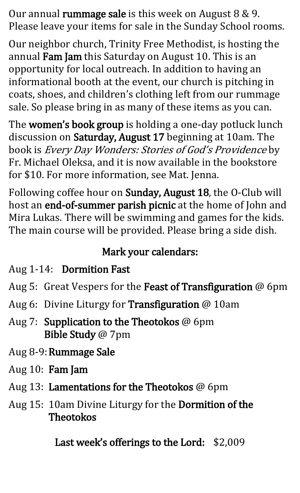Our annual rummage sale is this week on August 8 & 9. Please leave your items for sale in the Sunday School rooms.

Our neighbor church, Trinity Free Methodist, is hosting the annual Fam Jam this Saturday on August 10. This is an opportunity for local outreach. In addition to having an informational booth at the event, our church is pitching in coats, shoes, and children's clothing left from our rummage sale. So please bring in as many of these items as you can.

The women's book group is holding a one-day potluck lunch discussion on Saturday, August 17 beginning at 10am. The book is *Every Day Wonders: Stories of God's Providence* by Fr. Michael Oleksa, and it is now available in the bookstore for \$10. For more information, see Mat. Jenna.

Following coffee hour on Sunday, August 18, the O-Club will host an end-of-summer parish picnic at the home of John and Mira Lukas. There will be swimming and games for the kids. The main course will be provided. Please bring a side dish.

## Mark your calendars:

- Aug 1-14: Dormition Fast
- Aug 5: Great Vespers for the Feast of Transfiguration @ 6pm
- Aug 6: Divine Liturgy for Transfiguration @ 10am
- Aug 7: Supplication to the Theotokos @ 6pm Bible Study @ 7pm
- Aug 8-9:Rummage Sale
- Aug 10: Fam Jam
- Aug 13: Lamentations for the Theotokos @ 6pm
- Aug 15: 10am Divine Liturgy for the Dormition of the Theotokos

Last week's offerings to the Lord: \$2,009